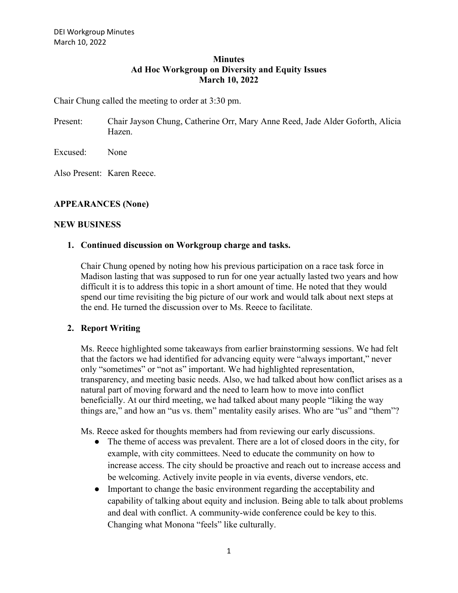### **Minutes Ad Hoc Workgroup on Diversity and Equity Issues March 10, 2022**

Chair Chung called the meeting to order at 3:30 pm.

Present: Chair Jayson Chung, Catherine Orr, Mary Anne Reed, Jade Alder Goforth, Alicia Hazen.

Excused: None

Also Present: Karen Reece.

# **APPEARANCES (None)**

### **NEW BUSINESS**

### **1. Continued discussion on Workgroup charge and tasks.**

Chair Chung opened by noting how his previous participation on a race task force in Madison lasting that was supposed to run for one year actually lasted two years and how difficult it is to address this topic in a short amount of time. He noted that they would spend our time revisiting the big picture of our work and would talk about next steps at the end. He turned the discussion over to Ms. Reece to facilitate.

# **2. Report Writing**

Ms. Reece highlighted some takeaways from earlier brainstorming sessions. We had felt that the factors we had identified for advancing equity were "always important," never only "sometimes" or "not as" important. We had highlighted representation, transparency, and meeting basic needs. Also, we had talked about how conflict arises as a natural part of moving forward and the need to learn how to move into conflict beneficially. At our third meeting, we had talked about many people "liking the way things are," and how an "us vs. them" mentality easily arises. Who are "us" and "them"?

Ms. Reece asked for thoughts members had from reviewing our early discussions.

- The theme of access was prevalent. There are a lot of closed doors in the city, for example, with city committees. Need to educate the community on how to increase access. The city should be proactive and reach out to increase access and be welcoming. Actively invite people in via events, diverse vendors, etc.
- Important to change the basic environment regarding the acceptability and capability of talking about equity and inclusion. Being able to talk about problems and deal with conflict. A community-wide conference could be key to this. Changing what Monona "feels" like culturally.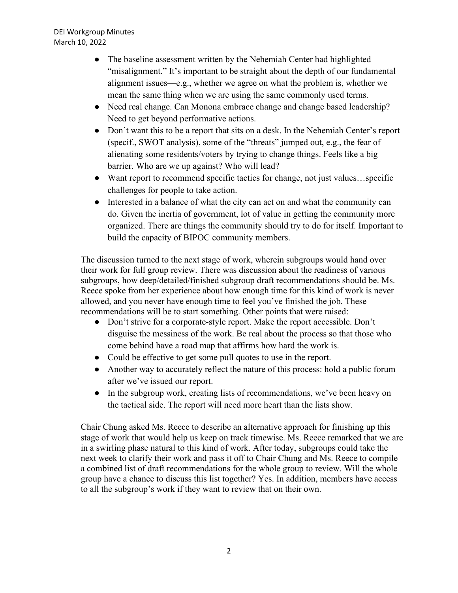- The baseline assessment written by the Nehemiah Center had highlighted "misalignment." It's important to be straight about the depth of our fundamental alignment issues—e.g., whether we agree on what the problem is, whether we mean the same thing when we are using the same commonly used terms.
- Need real change. Can Monona embrace change and change based leadership? Need to get beyond performative actions.
- Don't want this to be a report that sits on a desk. In the Nehemiah Center's report (specif., SWOT analysis), some of the "threats" jumped out, e.g., the fear of alienating some residents/voters by trying to change things. Feels like a big barrier. Who are we up against? Who will lead?
- Want report to recommend specific tactics for change, not just values…specific challenges for people to take action.
- Interested in a balance of what the city can act on and what the community can do. Given the inertia of government, lot of value in getting the community more organized. There are things the community should try to do for itself. Important to build the capacity of BIPOC community members.

The discussion turned to the next stage of work, wherein subgroups would hand over their work for full group review. There was discussion about the readiness of various subgroups, how deep/detailed/finished subgroup draft recommendations should be. Ms. Reece spoke from her experience about how enough time for this kind of work is never allowed, and you never have enough time to feel you've finished the job. These recommendations will be to start something. Other points that were raised:

- Don't strive for a corporate-style report. Make the report accessible. Don't disguise the messiness of the work. Be real about the process so that those who come behind have a road map that affirms how hard the work is.
- Could be effective to get some pull quotes to use in the report.
- Another way to accurately reflect the nature of this process: hold a public forum after we've issued our report.
- In the subgroup work, creating lists of recommendations, we've been heavy on the tactical side. The report will need more heart than the lists show.

Chair Chung asked Ms. Reece to describe an alternative approach for finishing up this stage of work that would help us keep on track timewise. Ms. Reece remarked that we are in a swirling phase natural to this kind of work. After today, subgroups could take the next week to clarify their work and pass it off to Chair Chung and Ms. Reece to compile a combined list of draft recommendations for the whole group to review. Will the whole group have a chance to discuss this list together? Yes. In addition, members have access to all the subgroup's work if they want to review that on their own.